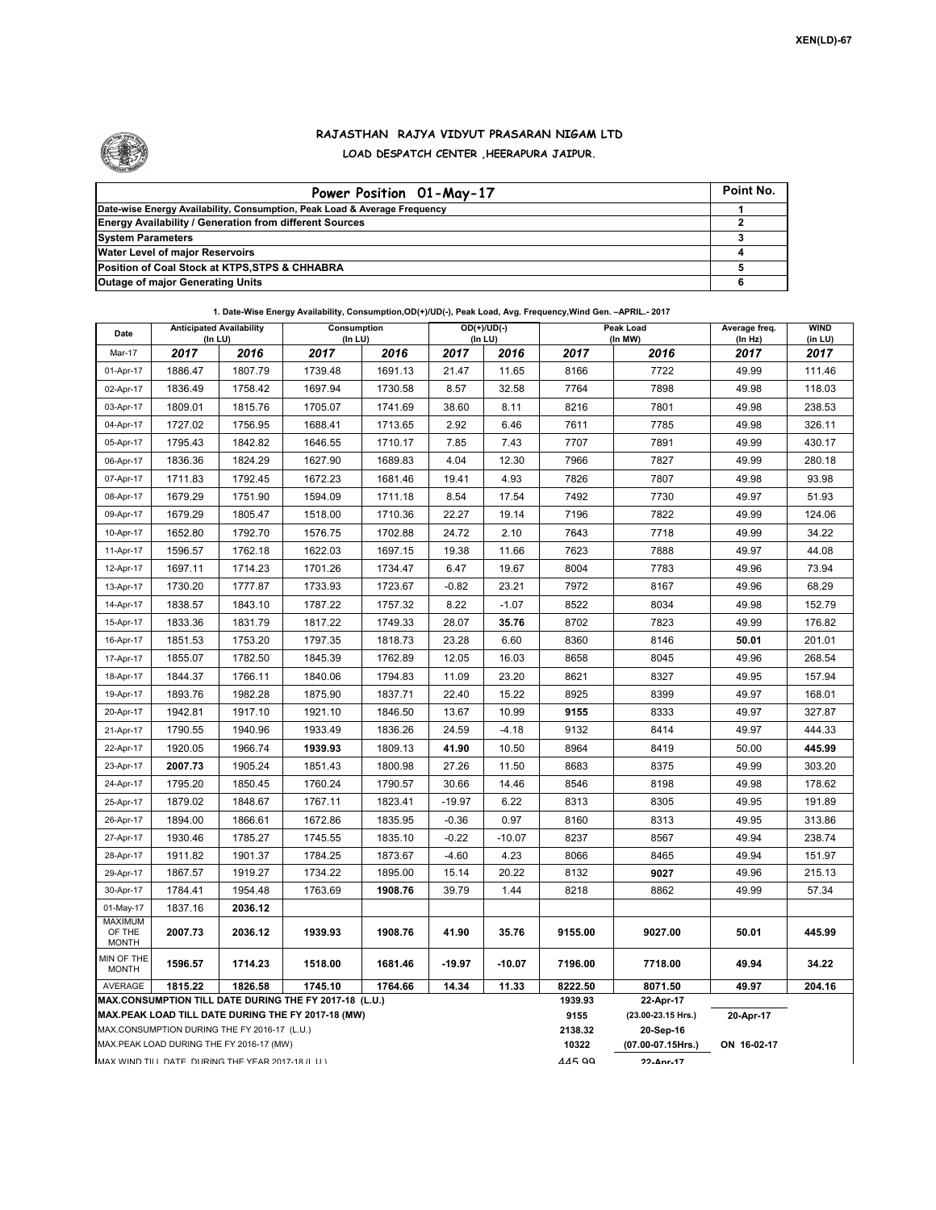

## **RAJASTHAN RAJYA VIDYUT PRASARAN NIGAM LTD LOAD DESPATCH CENTER ,HEERAPURA JAIPUR.**

| Power Position 01-May-17                                                  | Point No. |
|---------------------------------------------------------------------------|-----------|
| Date-wise Energy Availability, Consumption, Peak Load & Average Frequency |           |
| <b>Energy Availability / Generation from different Sources</b>            |           |
| <b>System Parameters</b>                                                  |           |
| <b>Water Level of major Reservoirs</b>                                    |           |
| Position of Coal Stock at KTPS, STPS & CHHABRA                            |           |
| <b>Outage of major Generating Units</b>                                   |           |

**1. Date-Wise Energy Availability, Consumption,OD(+)/UD(-), Peak Load, Avg. Frequency,Wind Gen. –APRIL.- 2017**

| Date                                                                                                         | $OD(+)/UD(-)$<br><b>Anticipated Availability</b><br>Consumption<br>(In LU)<br>(In LU)<br>(ln LU) |         |         |               |           |          |                 | Peak Load<br>(In MW)             | Average freq.<br>(In Hz) | <b>WIND</b><br>(in LU) |  |
|--------------------------------------------------------------------------------------------------------------|--------------------------------------------------------------------------------------------------|---------|---------|---------------|-----------|----------|-----------------|----------------------------------|--------------------------|------------------------|--|
| Mar-17                                                                                                       | 2017                                                                                             | 2016    | 2017    | 2016          | 2017      | 2016     | 2017            | 2016                             | 2017                     | 2017                   |  |
| 01-Apr-17                                                                                                    | 1886.47                                                                                          | 1807.79 | 1739.48 | 1691.13       | 21.47     | 11.65    | 8166            | 7722                             | 49.99                    | 111.46                 |  |
| 02-Apr-17                                                                                                    | 1836.49                                                                                          | 1758.42 | 1697.94 | 1730.58       | 8.57      | 32.58    | 7764            | 7898                             | 49.98                    | 118.03                 |  |
| 03-Apr-17                                                                                                    | 1809.01                                                                                          | 1815.76 | 1705.07 | 1741.69       | 38.60     | 8.11     | 8216            | 7801                             | 49.98                    | 238.53                 |  |
| 04-Apr-17                                                                                                    | 1727.02                                                                                          | 1756.95 | 1688.41 | 1713.65       | 2.92      | 6.46     | 7611            | 7785                             | 49.98                    | 326.11                 |  |
| 05-Apr-17                                                                                                    | 1795.43                                                                                          | 1842.82 | 1646.55 | 1710.17       | 7.85      | 7.43     | 7707            | 7891                             | 49.99                    | 430.17                 |  |
| 06-Apr-17                                                                                                    | 1836.36                                                                                          | 1824.29 | 1627.90 | 1689.83       | 4.04      | 12.30    | 7966            | 7827                             | 49.99                    | 280.18                 |  |
| 07-Apr-17                                                                                                    | 1711.83                                                                                          | 1792.45 | 1672.23 | 1681.46       | 19.41     | 4.93     | 7826            | 7807                             | 49.98                    | 93.98                  |  |
| 08-Apr-17                                                                                                    | 1679.29                                                                                          | 1751.90 | 1594.09 | 1711.18       | 8.54      | 17.54    | 7492            | 7730                             | 49.97                    | 51.93                  |  |
| 09-Apr-17                                                                                                    | 1679.29                                                                                          | 1805.47 | 1518.00 | 1710.36       | 22.27     | 19.14    | 7196            | 7822                             | 49.99                    | 124.06                 |  |
| 10-Apr-17                                                                                                    | 1652.80                                                                                          | 1792.70 | 1576.75 | 1702.88       | 24.72     | 2.10     | 7643            | 7718                             | 49.99                    | 34.22                  |  |
| 11-Apr-17                                                                                                    | 1596.57                                                                                          | 1762.18 | 1622.03 | 1697.15       | 19.38     | 11.66    | 7623            | 7888                             | 49.97                    | 44.08                  |  |
| 12-Apr-17                                                                                                    | 1697.11                                                                                          | 1714.23 | 1701.26 | 1734.47       | 6.47      | 19.67    | 8004            | 7783                             | 49.96                    | 73.94                  |  |
| 13-Apr-17                                                                                                    | 1730.20                                                                                          | 1777.87 | 1733.93 | 1723.67       | $-0.82$   | 23.21    | 7972            | 8167                             | 49.96                    | 68.29                  |  |
| 14-Apr-17                                                                                                    | 1838.57                                                                                          | 1843.10 | 1787.22 | 1757.32       | 8.22      | $-1.07$  | 8522            | 8034                             | 49.98                    | 152.79                 |  |
| 15-Apr-17                                                                                                    | 1833.36                                                                                          | 1831.79 | 1817.22 | 1749.33       | 28.07     | 35.76    | 8702            | 7823                             | 49.99                    | 176.82                 |  |
| 16-Apr-17                                                                                                    | 1851.53                                                                                          | 1753.20 | 1797.35 | 1818.73       | 23.28     | 6.60     | 8360            | 8146                             | 50.01                    | 201.01                 |  |
| 17-Apr-17                                                                                                    | 1855.07                                                                                          | 1782.50 | 1845.39 | 1762.89       | 12.05     | 16.03    | 8658            | 8045                             | 49.96                    | 268.54                 |  |
| 18-Apr-17                                                                                                    | 1844.37                                                                                          | 1766.11 | 1840.06 | 1794.83       | 11.09     | 23.20    | 8621            | 8327                             | 49.95                    | 157.94                 |  |
| 19-Apr-17                                                                                                    | 1893.76                                                                                          | 1982.28 | 1875.90 | 1837.71       | 22.40     | 15.22    | 8925            | 8399                             | 49.97                    | 168.01                 |  |
| 20-Apr-17                                                                                                    | 1942.81                                                                                          | 1917.10 | 1921.10 | 1846.50       | 13.67     | 10.99    | 9155            | 8333                             | 49.97                    | 327.87                 |  |
| 21-Apr-17                                                                                                    | 1790.55                                                                                          | 1940.96 | 1933.49 | 1836.26       | 24.59     | $-4.18$  | 9132            | 8414                             | 49.97                    | 444.33                 |  |
| 22-Apr-17                                                                                                    | 1920.05                                                                                          | 1966.74 | 1939.93 | 1809.13       | 41.90     | 10.50    | 8964            | 8419                             | 50.00                    | 445.99                 |  |
| 23-Apr-17                                                                                                    | 2007.73                                                                                          | 1905.24 | 1851.43 | 1800.98       | 27.26     | 11.50    | 8683            | 8375                             | 49.99                    | 303.20                 |  |
| 24-Apr-17                                                                                                    | 1795.20                                                                                          | 1850.45 | 1760.24 | 1790.57       | 30.66     | 14.46    | 8546            | 8198                             | 49.98                    | 178.62                 |  |
| 25-Apr-17                                                                                                    | 1879.02                                                                                          | 1848.67 | 1767.11 | 1823.41       | $-19.97$  | 6.22     | 8313            | 8305                             | 49.95                    | 191.89                 |  |
| 26-Apr-17                                                                                                    | 1894.00                                                                                          | 1866.61 | 1672.86 | 1835.95       | $-0.36$   | 0.97     | 8160            | 8313                             | 49.95                    | 313.86                 |  |
| 27-Apr-17                                                                                                    | 1930.46                                                                                          | 1785.27 | 1745.55 | 1835.10       | $-0.22$   | $-10.07$ | 8237            | 8567                             | 49.94                    | 238.74                 |  |
| 28-Apr-17                                                                                                    | 1911.82                                                                                          | 1901.37 | 1784.25 | 1873.67       | $-4.60$   | 4.23     | 8066            | 8465                             | 49.94                    | 151.97                 |  |
| 29-Apr-17                                                                                                    | 1867.57                                                                                          | 1919.27 | 1734.22 | 1895.00       | 15.14     | 20.22    | 8132            | 9027                             | 49.96                    | 215.13                 |  |
| 30-Apr-17                                                                                                    | 1784.41                                                                                          | 1954.48 | 1763.69 | 1908.76       | 39.79     | 1.44     | 8218            | 8862                             | 49.99                    | 57.34                  |  |
| 01-May-17                                                                                                    | 1837.16                                                                                          | 2036.12 |         |               |           |          |                 |                                  |                          |                        |  |
| <b>MAXIMUM</b><br>OF THE<br><b>MONTH</b>                                                                     | 2007.73                                                                                          | 2036.12 | 1939.93 | 1908.76       | 41.90     | 35.76    | 9155.00         | 9027.00                          | 50.01                    | 445.99                 |  |
| MIN OF THE<br><b>MONTH</b>                                                                                   | 1596.57                                                                                          | 1714.23 | 1518.00 | 1681.46       | $-19.97$  | $-10.07$ | 7196.00         | 7718.00                          | 49.94                    | 34.22                  |  |
| AVERAGE<br>1826.58<br>14.34<br>1815.22<br>1745.10<br>1764.66<br>11.33                                        |                                                                                                  |         |         |               |           |          |                 | 8071.50                          | 49.97                    | 204.16                 |  |
| MAX.CONSUMPTION TILL DATE DURING THE FY 2017-18 (L.U.)<br>MAX.PEAK LOAD TILL DATE DURING THE FY 2017-18 (MW) |                                                                                                  |         |         |               |           |          |                 | 22-Apr-17                        |                          |                        |  |
|                                                                                                              |                                                                                                  |         |         |               |           |          | 9155<br>2138.32 | (23.00-23.15 Hrs.)<br>20-Sep-16  | 20-Apr-17                |                        |  |
| MAX.CONSUMPTION DURING THE FY 2016-17 (L.U.)<br>MAX.PEAK LOAD DURING THE FY 2016-17 (MW)                     |                                                                                                  |         |         |               |           |          |                 | (07.00-07.15Hrs.)<br>ON 16-02-17 |                          |                        |  |
|                                                                                                              | MAX WIND TILL DATE DURING THE YEAR 2017-18 (LIT)                                                 |         |         | <b>AA5 QQ</b> | 22_Anr_17 |          |                 |                                  |                          |                        |  |

445.99 **22-Apr-17**

MAX WIND TILL DATE DURING THE YEAR 2017-18 (LLU.)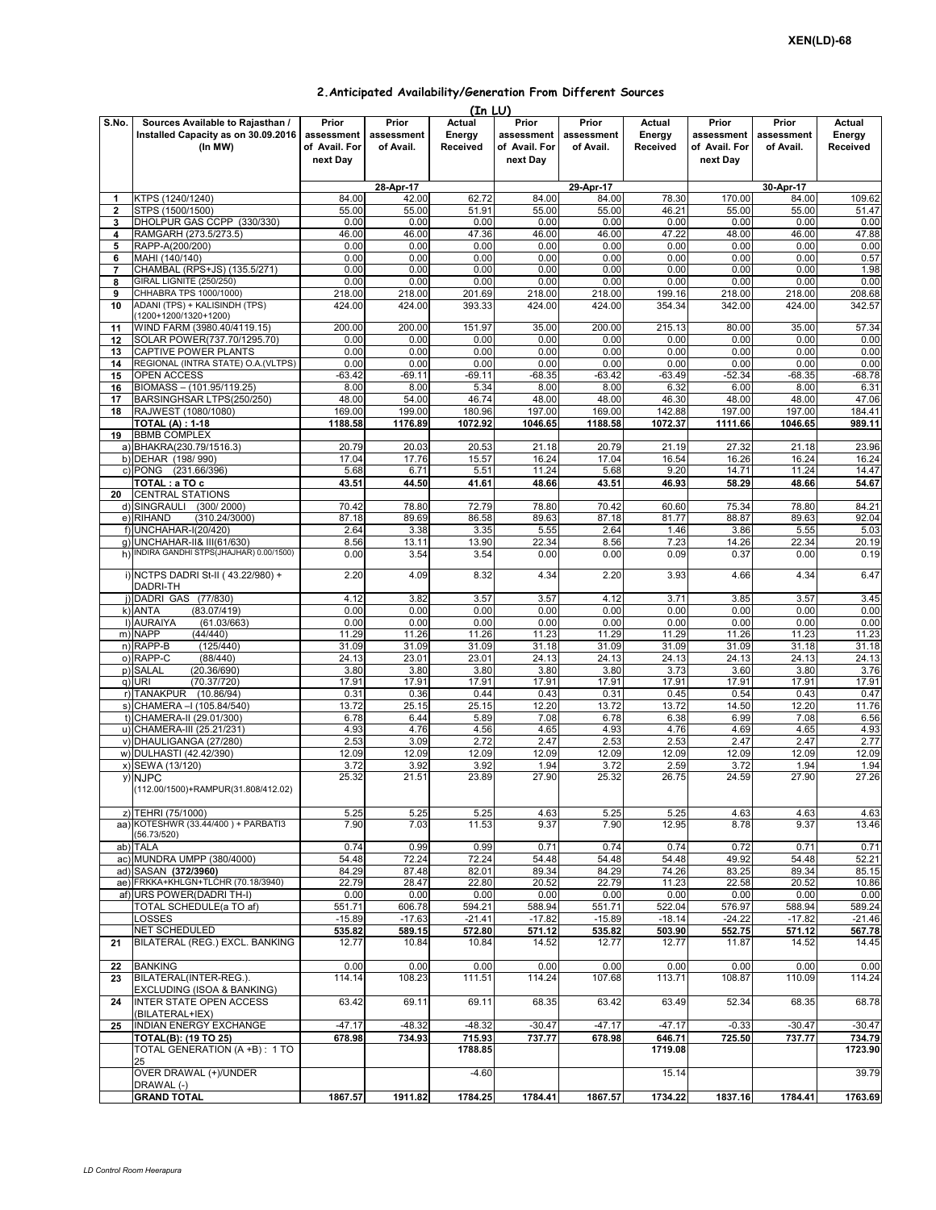| 2. Anticipated Availability/Generation From Different Sources |  |
|---------------------------------------------------------------|--|
|---------------------------------------------------------------|--|

|          |                                                                 |                           |                | (In LU)        |                |                |                |                |                |                |
|----------|-----------------------------------------------------------------|---------------------------|----------------|----------------|----------------|----------------|----------------|----------------|----------------|----------------|
| S.No.    | Sources Available to Rajasthan /                                | Prior                     | Prior          | Actual         | Prior          | Prior          | <b>Actual</b>  | Prior          | Prior          | <b>Actual</b>  |
|          | Installed Capacity as on 30.09.2016                             | assessment                | assessment     | Energy         | assessment     | assessment     | Energy         | assessment     | assessment     | Energy         |
|          | (In MW)                                                         | of Avail. For<br>next Day | of Avail.      | Received       | of Avail. For  | of Avail.      | Received       | of Avail. For  | of Avail.      | Received       |
|          |                                                                 |                           |                |                | next Day       |                |                | next Day       |                |                |
|          |                                                                 |                           | $28-Apr-17$    |                |                | 29-Apr-17      |                |                | 30-Apr-17      |                |
| 1        | KTPS (1240/1240)                                                | 84.00                     | 42.00          | 62.72          | 84.00          | 84.00          | 78.30          | 170.00         | 84.00          | 109.62         |
| 2        | STPS (1500/1500)                                                | 55.00                     | 55.00          | 51.91          | 55.00          | 55.00          | 46.21          | 55.00          | 55.00          | 51.47          |
| 3        | DHOLPUR GAS CCPP (330/330)                                      | 0.00                      | 0.00           | 0.00           | 0.00           | 0.00           | 0.00           | 0.00           | 0.00           | 0.00<br>47.88  |
| 4<br>5   | RAMGARH (273.5/273.5)<br>RAPP-A(200/200)                        | 46.00<br>0.00             | 46.00<br>0.00  | 47.36<br>0.00  | 46.00<br>0.00  | 46.00<br>0.00  | 47.22<br>0.00  | 48.00<br>0.00  | 46.00<br>0.00  | 0.00           |
| 6        | MAHI (140/140)                                                  | 0.00                      | 0.00           | 0.00           | 0.00           | 0.00           | 0.00           | 0.00           | 0.00           | 0.57           |
| 7        | CHAMBAL (RPS+JS) (135.5/271)                                    | 0.00                      | 0.00           | 0.00           | 0.00           | 0.00           | 0.00           | 0.00           | 0.00           | 1.98           |
| 8        | <b>GIRAL LIGNITE (250/250)</b>                                  | 0.00                      | 0.00           | 0.00           | 0.00           | 0.00           | 0.00           | 0.00           | 0.00           | 0.00           |
| 9        | CHHABRA TPS 1000/1000)                                          | 218.00                    | 218.00         | 201.69         | 218.00         | 218.00         | 199.16         | 218.00         | 218.00         | 208.68         |
| 10       | ADANI (TPS) + KALISINDH (TPS)<br>(1200+1200/1320+1200)          | 424.00                    | 424.00         | 393.33         | 424.00         | 424.00         | 354.34         | 342.00         | 424.00         | 342.57         |
| 11       | WIND FARM (3980.40/4119.15)                                     | 200.00                    | 200.00         | 151.97         | 35.00          | 200.00         | 215.13         | 80.00          | 35.00          | 57.34          |
| 12       | SOLAR POWER(737.70/1295.70)                                     | 0.00                      | 0.00           | 0.00           | 0.00           | 0.00           | 0.00           | 0.00           | 0.00           | 0.00           |
| 13       | CAPTIVE POWER PLANTS                                            | 0.00                      | 0.00           | 0.00           | 0.00           | 0.00           | 0.00           | 0.00           | 0.00           | 0.00           |
| 14       | REGIONAL (INTRA STATE) O.A. (VLTPS)                             | 0.00                      | 0.00           | 0.00           | 0.00           | 0.00           | 0.00           | 0.00           | 0.00           | 0.00           |
| 15       | OPEN ACCESS                                                     | $-63.42$                  | $-69.11$       | $-69.11$       | $-68.35$       | $-63.42$       | $-63.49$       | $-52.34$       | $-68.35$       | $-68.78$       |
| 16<br>17 | BIOMASS - (101.95/119.25)<br>BARSINGHSAR LTPS(250/250)          | 8.00<br>48.00             | 8.00<br>54.00  | 5.34<br>46.74  | 8.00<br>48.00  | 8.00<br>48.00  | 6.32<br>46.30  | 6.00<br>48.00  | 8.00<br>48.00  | 6.31<br>47.06  |
| 18       | RAJWEST (1080/1080)                                             | 169.00                    | 199.00         | 180.96         | 197.00         | 169.00         | 142.88         | 197.00         | 197.00         | 184.41         |
|          | TOTAL (A) : 1-18                                                | 1188.58                   | 1176.89        | 1072.92        | 1046.65        | 1188.58        | 1072.37        | 1111.66        | 1046.65        | 989.11         |
| 19       | <b>BBMB COMPLEX</b>                                             |                           |                |                |                |                |                |                |                |                |
|          | a) BHAKRA(230.79/1516.3)                                        | 20.79                     | 20.03          | 20.53          | 21.18          | 20.79          | 21.19          | 27.32          | 21.18          | 23.96          |
|          | b) DEHAR (198/990)                                              | 17.04                     | 17.76          | 15.57          | 16.24          | 17.04          | 16.54          | 16.26          | 16.24          | 16.24          |
|          | c) PONG (231.66/396)<br>TOTAL: a TO c                           | 5.68<br>43.51             | 6.71<br>44.50  | 5.51<br>41.61  | 11.24<br>48.66 | 5.68<br>43.51  | 9.20<br>46.93  | 14.71<br>58.29 | 11.24<br>48.66 | 14.47<br>54.67 |
| 20       | CENTRAL STATIONS                                                |                           |                |                |                |                |                |                |                |                |
|          | (300/2000)<br>d) SINGRAULI                                      | 70.42                     | 78.80          | 72.79          | 78.80          | 70.42          | 60.60          | 75.34          | 78.80          | 84.21          |
|          | e) RIHAND<br>(310.24/3000)                                      | 87.18                     | 89.69          | 86.58          | 89.63          | 87.18          | 81.77          | 88.87          | 89.63          | 92.04          |
|          | f) UNCHAHAR-I(20/420)                                           | 2.64                      | 3.38           | 3.35           | 5.55           | 2.64           | 1.46           | 3.86           | 5.55           | 5.03           |
|          | g) UNCHAHAR-II& III(61/630)                                     | 8.56                      | 13.11          | 13.90          | 22.34          | 8.56           | 7.23           | 14.26          | 22.34          | 20.19          |
|          | h) INDIRA GANDHI STPS(JHAJHAR) 0.00/1500)                       | 0.00                      | 3.54           | 3.54           | 0.00           | 0.00           | 0.09           | 0.37           | 0.00           | 0.19           |
|          | i) NCTPS DADRI St-II (43.22/980) +                              | 2.20                      | 4.09           | 8.32           | 4.34           | 2.20           | 3.93           | 4.66           | 4.34           | 6.47           |
|          | DADRI-TH                                                        |                           |                |                |                |                |                |                |                |                |
|          | j) DADRI GAS (77/830)                                           | 4.12                      | 3.82           | 3.57           | 3.57           | 4.12           | 3.71           | 3.85           | 3.57           | 3.45           |
|          | (83.07/419)<br>k) ANTA                                          | 0.00                      | 0.00           | 0.00           | 0.00           | 0.00           | 0.00           | 0.00           | 0.00           | 0.00           |
|          | I) AURAIYA<br>(61.03/663)<br>m) NAPP<br>(44/440)                | 0.00<br>11.29             | 0.00<br>11.26  | 0.00<br>11.26  | 0.00<br>11.23  | 0.00<br>11.29  | 0.00<br>11.29  | 0.00<br>11.26  | 0.00<br>11.23  | 0.00<br>11.23  |
|          | n) RAPP-B<br>(125/440)                                          | 31.09                     | 31.09          | 31.09          | 31.18          | 31.09          | 31.09          | 31.09          | 31.18          | 31.18          |
|          | o) RAPP-C<br>(88/440)                                           | 24.13                     | 23.01          | 23.01          | 24.13          | 24.13          | 24.13          | 24.13          | 24.13          | 24.13          |
|          | p) SALAL<br>(20.36/690)                                         | 3.80                      | 3.80           | 3.80           | 3.80           | 3.80           | 3.73           | 3.60           | 3.80           | 3.76           |
|          | q) URI<br>(70.37/720)                                           | 17.91                     | 17.91          | 17.91          | 17.91          | 17.91          | 17.91          | 17.91          | 17.91          | 17.91          |
|          | r) TANAKPUR<br>(10.86/94)                                       | 0.31                      | 0.36           | 0.44           | 0.43           | 0.31           | 0.45           | 0.54           | 0.43           | 0.47           |
|          | s) CHAMERA - (105.84/540)                                       | 13.72                     | 25.15          | 25.15          | 12.20          | 13.72          | 13.72          | 14.50          | 12.20          | 11.76          |
|          | t) CHAMERA-II (29.01/300)<br>u) CHAMERA-III (25.21/231)         | 6.78<br>4.93              | 6.44<br>4.76   | 5.89<br>4.56   | 7.08<br>4.65   | 6.78<br>4.93   | 6.38<br>4.76   | 6.99<br>4.69   | 7.08<br>4.65   | 6.56<br>4.93   |
|          | v) DHAULIGANGA (27/280)                                         | 2.53                      | 3.09           | 2.72           | 2.47           | 2.53           | 2.53           | 2.47           | 2.47           | 2.77           |
|          | w) DULHASTI (42.42/390)                                         | 12.09                     | 12.09          | 12.09          | 12.09          | 12.09          | 12.09          | 12.09          | 12.09          | 12.09          |
|          | x) SEWA (13/120)                                                | 3.72                      | 3.92           | 3.92           | 1.94           | 3.72           | 2.59           | 3.72           | 1.94           | 1.94           |
|          | y) NJPC                                                         | 25.32                     | 21.51          | 23.89          | 27.90          | 25.32          | 26.75          | 24.59          | 27.90          | 27.26          |
|          | (112.00/1500)+RAMPUR(31.808/412.02)                             |                           |                |                |                |                |                |                |                |                |
|          | z) TEHRI (75/1000)                                              | 5.25                      | 5.25           | 5.25           |                |                | 5.25           | 4.63           | 4.63           | 4.63           |
|          | aa) KOTESHWR (33.44/400) + PARBATI3                             | 7.90                      | 7.03           | 11.53          | 4.63<br>9.37   | 5.25<br>7.90   | 12.95          | 8.78           | 9.37           | 13.46          |
|          | (56.73/520)                                                     |                           |                |                |                |                |                |                |                |                |
|          | ab) TALA                                                        | 0.74                      | 0.99           | 0.99           | 0.71           | 0.74           | 0.74           | 0.72           | 0.71           | 0.71           |
|          | ac) MUNDRA UMPP (380/4000)                                      | 54.48                     | 72.24          | 72.24          | 54.48          | 54.48          | 54.48          | 49.92          | 54.48          | 52.21          |
|          | ad) SASAN (372/3960)                                            | 84.29                     | 87.48          | 82.01          | 89.34          | 84.29          | 74.26          | 83.25          | 89.34          | 85.15          |
|          | ae) FRKKA+KHLGN+TLCHR (70.18/3940)<br>af) URS POWER(DADRI TH-I) | 22.79<br>0.00             | 28.47<br>0.00  | 22.80<br>0.00  | 20.52<br>0.00  | 22.79<br>0.00  | 11.23<br>0.00  | 22.58<br>0.00  | 20.52<br>0.00  | 10.86<br>0.00  |
|          | TOTAL SCHEDULE(a TO af)                                         | 551.71                    | 606.78         | 594.21         | 588.94         | 551.71         | 522.04         | 576.97         | 588.94         | 589.24         |
|          | <b>LOSSES</b>                                                   | $-15.89$                  | $-17.63$       | $-21.41$       | $-17.82$       | $-15.89$       | $-18.14$       | $-24.22$       | $-17.82$       | $-21.46$       |
|          | NET SCHEDULED                                                   | 535.82                    | 589.15         | 572.80         | 571.12         | 535.82         | 503.90         | 552.75         | 571.12         | 567.78         |
| 21       | BILATERAL (REG.) EXCL. BANKING                                  | 12.77                     | 10.84          | 10.84          | 14.52          | 12.77          | 12.77          | 11.87          | 14.52          | 14.45          |
|          |                                                                 |                           |                |                |                |                |                |                |                |                |
| 22<br>23 | <b>BANKING</b><br>BILATERAL(INTER-REG.).                        | 0.00<br>114.14            | 0.00<br>108.23 | 0.00<br>111.51 | 0.00<br>114.24 | 0.00<br>107.68 | 0.00<br>113.71 | 0.00<br>108.87 | 0.00<br>110.09 | 0.00<br>114.24 |
|          | EXCLUDING (ISOA & BANKING)                                      |                           |                |                |                |                |                |                |                |                |
| 24       | <b>INTER STATE OPEN ACCESS</b>                                  | 63.42                     | 69.11          | 69.11          | 68.35          | 63.42          | 63.49          | 52.34          | 68.35          | 68.78          |
|          | (BILATERAL+IEX)                                                 |                           |                |                |                |                |                |                |                |                |
| 25       | <b>INDIAN ENERGY EXCHANGE</b>                                   | $-47.17$                  | $-48.32$       | $-48.32$       | $-30.47$       | $-47.17$       | $-47.17$       | $-0.33$        | $-30.47$       | $-30.47$       |
|          | <b>TOTAL(B): (19 TO 25)</b>                                     | 678.98                    | 734.93         | 715.93         | 737.77         | 678.98         | 646.71         | 725.50         | 737.77         | 734.79         |
|          | TOTAL GENERATION (A +B): 1 TO                                   |                           |                | 1788.85        |                |                | 1719.08        |                |                | 1723.90        |
|          | 25<br>OVER DRAWAL (+)/UNDER                                     |                           |                | $-4.60$        |                |                | 15.14          |                |                | 39.79          |
|          | DRAWAL (-)                                                      |                           |                |                |                |                |                |                |                |                |
|          | <b>GRAND TOTAL</b>                                              | 1867.57                   | 1911.82        | 1784.25        | 1784.41        | 1867.57        | 1734.22        | 1837.16        | 1784.41        | 1763.69        |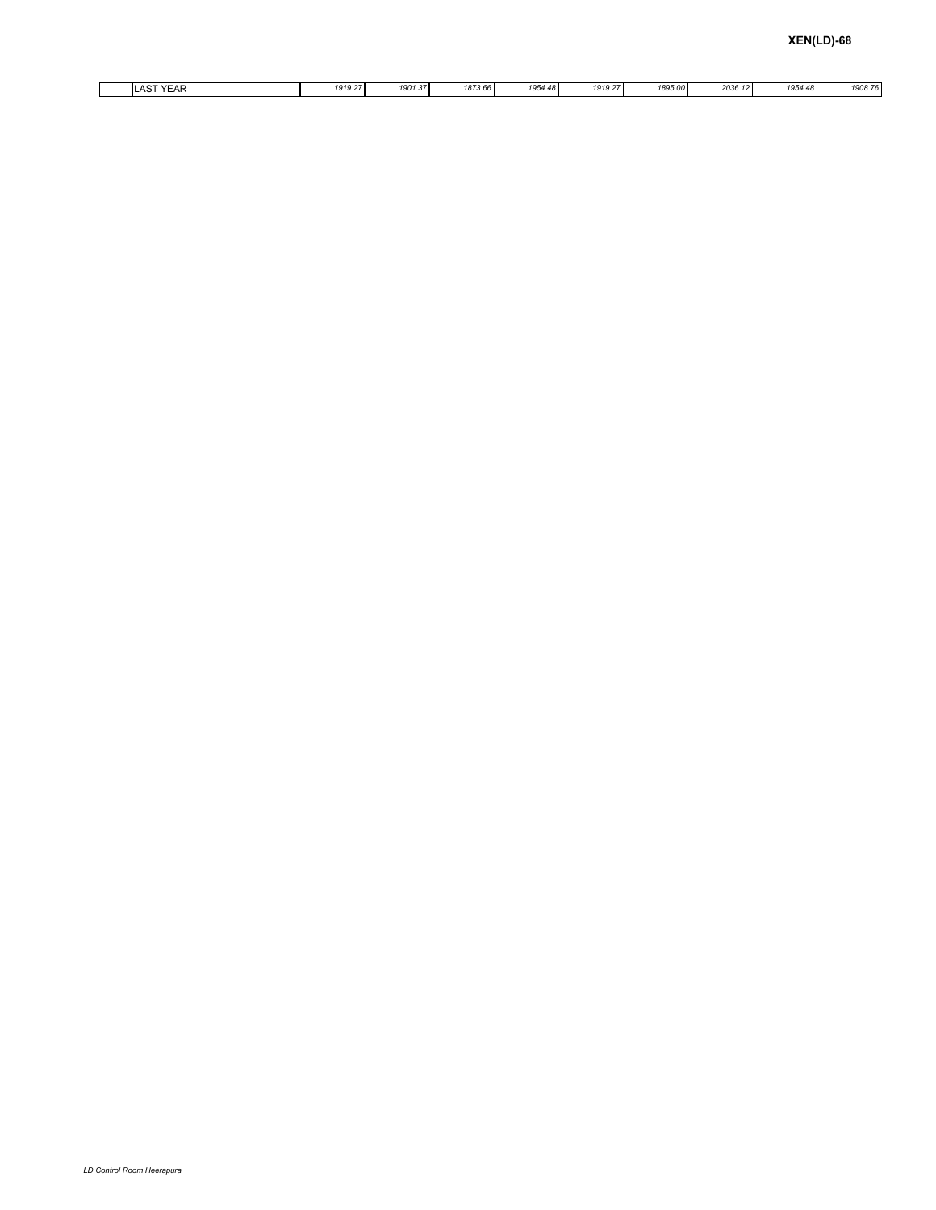| 1901.37<br>1954.48<br>1919.27<br>1873.66<br>1954.48<br>1895.00<br>2036.12<br>1919.27<br><b>LAST YEAR</b><br>AS.<br>EAR |  |  |  |  |  |         |
|------------------------------------------------------------------------------------------------------------------------|--|--|--|--|--|---------|
|                                                                                                                        |  |  |  |  |  | 1908.76 |